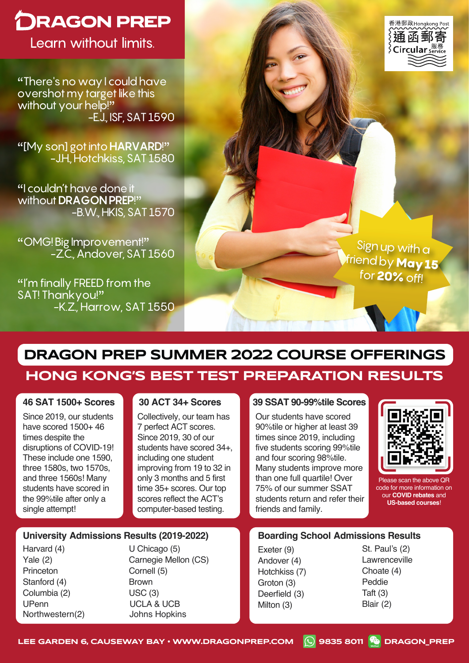# **DRAGON PREP**

Learn without limits.

"There's no way I could have overshot my target like this without your help!" -E.J., ISF, SAT 1590

"[My son] got into **HARVARD**!" -J.H., Hotchkiss, SAT 1580

"I couldn't have done it without **DRAGON PREP**!" -B.W., HKIS, SAT 1570

"OMG! Big Improvement!" -Z.C., Andover, SAT 1560

"I'm finally FREED from the SAT! Thankyou!" -K.Z., Harrow, SAT 1550



Sign up with a friend by **May 15** for 20% off!

# **DRAGON PREP SUMMER 2022 COURSE OFFERINGS**

# **HONG KONG'S BEST TEST PREPARATION RESULTS**

#### **46 SAT 1500+ Scores**

Since 2019, our students have scored 1500+ 46 times despite the disruptions of COVID-19! These include one 1590, three 1580s, two 1570s, and three 1560s! Many students have scored in the 99%tile after only a single attempt!

Collectively, our team has 7 perfect ACT scores. Since 2019, 30 of our students have scored 34+, including one student improving from 19 to 32 in only 3 months and 5 first time 35+ scores. Our top scores reflect the ACT's computer-based testing.

#### **30 ACT 34+ Scores 39 SSAT 90-99%tile Scores**

Our students have scored 90%tile or higher at least 39 times since 2019, including five students scoring 99%tile and four scoring 98%tile. Many students improve more than one full quartile! Over 75% of our summer SSAT students return and refer their friends and family.



Please scan the above QR code for more information on our **COVID rebates** and **US-based courses**!

#### **University Admissions Results (2019-2022)**

Harvard (4) Yale (2) **Princeton** Stanford (4) Columbia (2) UPenn Northwestern(2) U Chicago (5) Carnegie Mellon (CS) Cornell (5) Brown USC (3) UCLA & UCB Johns Hopkins

#### **Boarding School Admissions Results**

Exeter (9) Andover (4) Hotchkiss (7) Groton (3) Deerfield (3) Milton (3)

St. Paul's (2) Lawrenceville Choate (4) Peddie Taft (3) Blair (2)